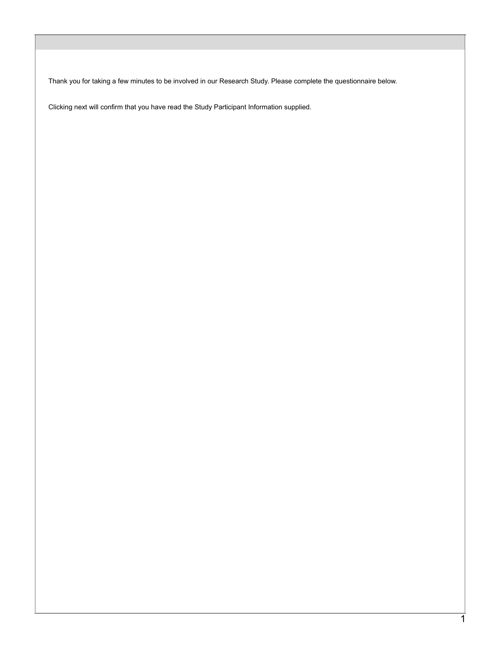Thank you for taking a few minutes to be involved in our Research Study. Please complete the questionnaire below.

Clicking next will confirm that you have read the Study Participant Information supplied.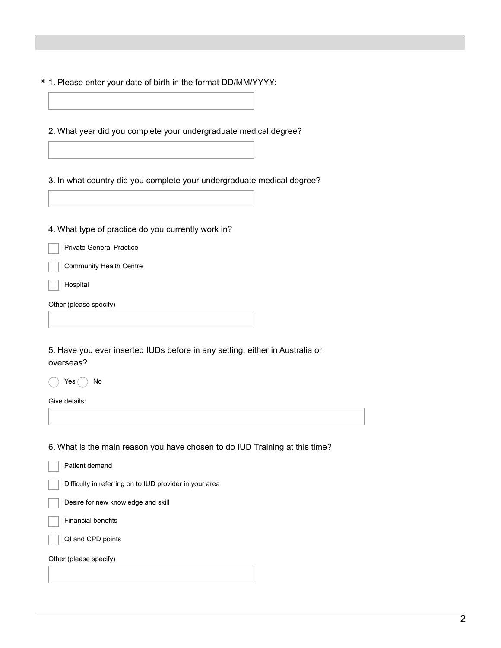|                                   | * 1. Please enter your date of birth in the format DD/MM/YYYY:                     |
|-----------------------------------|------------------------------------------------------------------------------------|
|                                   | 2. What year did you complete your undergraduate medical degree?                   |
|                                   | 3. In what country did you complete your undergraduate medical degree?             |
|                                   | 4. What type of practice do you currently work in?                                 |
|                                   | <b>Private General Practice</b>                                                    |
|                                   | <b>Community Health Centre</b>                                                     |
| Hospital                          |                                                                                    |
| Other (please specify)            |                                                                                    |
|                                   |                                                                                    |
|                                   |                                                                                    |
| overseas?<br>Yes<br>Give details: | 5. Have you ever inserted IUDs before in any setting, either in Australia or<br>No |
|                                   |                                                                                    |
| Patient demand                    | 6. What is the main reason you have chosen to do IUD Training at this time?        |
|                                   | Difficulty in referring on to IUD provider in your area                            |
|                                   | Desire for new knowledge and skill                                                 |
| <b>Financial benefits</b>         |                                                                                    |
|                                   | QI and CPD points                                                                  |
| Other (please specify)            |                                                                                    |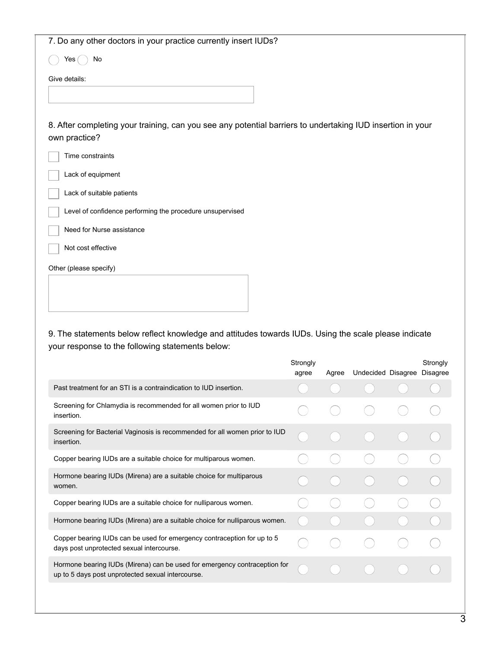| 7. Do any other doctors in your practice currently insert IUDs?                                                             |  |  |  |  |  |  |  |
|-----------------------------------------------------------------------------------------------------------------------------|--|--|--|--|--|--|--|
| Yes (<br>No                                                                                                                 |  |  |  |  |  |  |  |
| Give details:                                                                                                               |  |  |  |  |  |  |  |
|                                                                                                                             |  |  |  |  |  |  |  |
| 8. After completing your training, can you see any potential barriers to undertaking IUD insertion in your<br>own practice? |  |  |  |  |  |  |  |
| Time constraints                                                                                                            |  |  |  |  |  |  |  |
| Lack of equipment                                                                                                           |  |  |  |  |  |  |  |
| Lack of suitable patients                                                                                                   |  |  |  |  |  |  |  |
| Level of confidence performing the procedure unsupervised                                                                   |  |  |  |  |  |  |  |
| Need for Nurse assistance                                                                                                   |  |  |  |  |  |  |  |
| Not cost effective                                                                                                          |  |  |  |  |  |  |  |
| Other (please specify)                                                                                                      |  |  |  |  |  |  |  |
|                                                                                                                             |  |  |  |  |  |  |  |
| 9. The statements below reflect knowledge and attitudes towards IUDs. Using the scale please indicate                       |  |  |  |  |  |  |  |

your response to the following statements below:

|                                                                                                                                | Strongly<br>agree | Agree | Undecided Disagree | Strongly<br><b>Disagree</b> |
|--------------------------------------------------------------------------------------------------------------------------------|-------------------|-------|--------------------|-----------------------------|
| Past treatment for an STI is a contraindication to IUD insertion.                                                              |                   |       |                    |                             |
| Screening for Chlamydia is recommended for all women prior to IUD<br>insertion.                                                |                   |       |                    |                             |
| Screening for Bacterial Vaginosis is recommended for all women prior to IUD<br>insertion.                                      |                   |       |                    |                             |
| Copper bearing IUDs are a suitable choice for multiparous women.                                                               |                   |       |                    |                             |
| Hormone bearing IUDs (Mirena) are a suitable choice for multiparous<br>women.                                                  |                   |       |                    |                             |
| Copper bearing IUDs are a suitable choice for nulliparous women.                                                               |                   |       |                    |                             |
| Hormone bearing IUDs (Mirena) are a suitable choice for nulliparous women.                                                     |                   |       |                    |                             |
| Copper bearing IUDs can be used for emergency contraception for up to 5<br>days post unprotected sexual intercourse.           |                   |       |                    |                             |
| Hormone bearing IUDs (Mirena) can be used for emergency contraception for<br>up to 5 days post unprotected sexual intercourse. |                   |       |                    |                             |
|                                                                                                                                |                   |       |                    |                             |